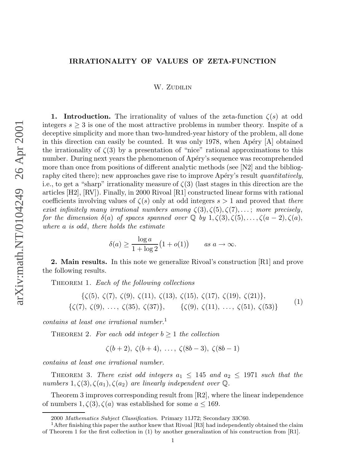## **IRRATIONALITY OF VALUES OF ZETA-FUNCTION**

## W. ZUDILIN

**1.** Introduction. The irrationality of values of the zeta-function  $\zeta(s)$  at odd integers  $s \geq 3$  is one of the most attractive problems in number theory. Inspite of a deceptive simplicity and more than two-hundred-year history of the problem, all done in this direction can easily be counted. It was only 1978, when Apéry  $[A]$  obtained the irrationality of  $\zeta(3)$  by a presentation of "nice" rational approximations to this number. During next years the phenomenon of Apéry's sequence was recomprehended more than once from positions of different analytic methods (see [N2] and the bibliography cited there); new approaches gave rise to improve Apéry's result *quantitatively*, i.e., to get a "sharp" irrationality measure of  $\zeta(3)$  (last stages in this direction are the articles [H2], [RV]). Finally, in 2000 Rivoal [R1] constructed linear forms with rational coefficients involving values of  $\zeta(s)$  only at odd integers  $s > 1$  and proved that there exist infinitely many irrational numbers among  $\zeta(3), \zeta(5), \zeta(7), \ldots$ ; more precisely, for the dimension  $\delta(a)$  of spaces spanned over  $\mathbb Q$  by  $1, \zeta(3), \zeta(5), \ldots, \zeta(a-2), \zeta(a),$ where a is odd , there holds the estimate

$$
\delta(a) \ge \frac{\log a}{1 + \log 2} (1 + o(1)) \qquad \text{as } a \to \infty.
$$

**2. Main results.** In this note we generalize Rivoal's construction [R1] and prove the following results.

THEOREM 1. Each of the following collections

$$
\{\zeta(5), \zeta(7), \zeta(9), \zeta(11), \zeta(13), \zeta(15), \zeta(17), \zeta(19), \zeta(21)\},\
$$
  

$$
\{\zeta(7), \zeta(9), \ldots, \zeta(35), \zeta(37)\}, \qquad \{\zeta(9), \zeta(11), \ldots, \zeta(51), \zeta(53)\}\
$$
<sup>(1)</sup>

contains at least one irrational number. 1

THEOREM 2. For each odd integer  $b \geq 1$  the collection

$$
\zeta(b+2), \zeta(b+4), \ldots, \zeta(8b-3), \zeta(8b-1)
$$

contains at least one irrational number.

THEOREM 3. There exist odd integers  $a_1 \leq 145$  and  $a_2 \leq 1971$  such that the numbers  $1, \zeta(3), \zeta(a_1), \zeta(a_2)$  are linearly independent over  $\mathbb{Q}$ .

Theorem 3 improves corresponding result from [R2], where the linear independence of numbers  $1, \zeta(3), \zeta(a)$  was established for some  $a \leq 169$ .

<sup>2000</sup> Mathematics Subject Classification. Primary 11J72; Secondary 33C60.

<sup>&</sup>lt;sup>1</sup> After finishing this paper the author knew that Rivoal  $[R3]$  had independently obtained the claim of Theorem 1 for the first collection in (1) by another generalization of his construction from [R1].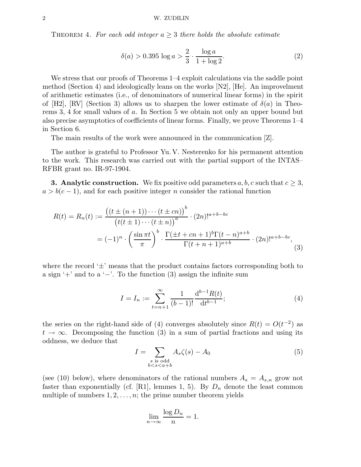THEOREM 4. For each odd integer  $a \geq 3$  there holds the absolute estimate

$$
\delta(a) > 0.395 \log a > \frac{2}{3} \cdot \frac{\log a}{1 + \log 2}.\tag{2}
$$

We stress that our proofs of Theorems 1–4 exploit calculations via the saddle point method (Section 4) and ideologically leans on the works [N2], [He]. An improvelment of arithmetic estimates (i.e., of denominators of numerical linear forms) in the spirit of [H2], [RV] (Section 3) allows us to sharpen the lower estimate of  $\delta(a)$  in Theorems 3, 4 for small values of a. In Section 5 we obtain not only an upper bound but also precise asymptotics of coefficients of linear forms. Finally, we prove Theorems 1–4 in Section 6.

The main results of the work were announced in the communication [Z].

The author is grateful to Professor Yu. V. Nesterenko for his permanent attention to the work. This research was carried out with the partial support of the INTAS– RFBR grant no. IR-97-1904.

**3. Analytic construction.** We fix positive odd parameters  $a, b, c$  such that  $c \geq 3$ ,  $a > b(c - 1)$ , and for each positive integer n consider the rational function

$$
R(t) = R_n(t) := \frac{\left( (t \pm (n+1)) \cdots (t \pm cn) \right)^b}{\left( t(t \pm 1) \cdots (t \pm n) \right)^a} \cdot (2n)!^{a+b-bc}
$$

$$
= (-1)^n \cdot \left( \frac{\sin \pi t}{\pi} \right)^b \cdot \frac{\Gamma(\pm t + cn + 1)^b \Gamma(t - n)^{a+b}}{\Gamma(t + n + 1)^{a+b}} \cdot (2n)!^{a+b-bc}, \tag{3}
$$

where the record  $\pm$ ' means that the product contains factors corresponding both to a sign '+' and to a '−'. To the function (3) assign the infinite sum

$$
I = I_n := \sum_{t=n+1}^{\infty} \frac{1}{(b-1)!} \frac{\mathrm{d}^{b-1} R(t)}{\mathrm{d} t^{b-1}};
$$
\n(4)

the series on the right-hand side of (4) converges absolutely since  $R(t) = O(t^{-2})$  as  $t \to \infty$ . Decomposing the function (3) in a sum of partial fractions and using its oddness, we deduce that

$$
I = \sum_{\substack{s \text{ is odd} \\ b < s < a+b}} A_s \zeta(s) - A_0 \tag{5}
$$

(see (10) below), where denominators of the rational numbers  $A_s = A_{s,n}$  grow not faster than exponentially (cf. [R1], lemmes 1, 5). By  $D_n$  denote the least common multiple of numbers  $1, 2, \ldots, n$ ; the prime number theorem yields

$$
\lim_{n \to \infty} \frac{\log D_n}{n} = 1.
$$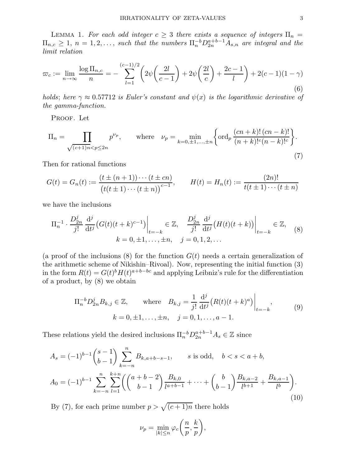LEMMA 1. For each odd integer  $c \geq 3$  there exists a sequence of integers  $\Pi_n =$  $\Pi_{n,c} \geq 1, n = 1, 2, \ldots$ , such that the numbers  $\Pi_n^{-b} D_{2n}^{a+b-1} A_{s,n}$  are integral and the limit relation

$$
\varpi_c := \lim_{n \to \infty} \frac{\log \Pi_{n,c}}{n} = -\sum_{l=1}^{(c-1)/2} \left( 2\psi \left( \frac{2l}{c-1} \right) + 2\psi \left( \frac{2l}{c} \right) + \frac{2c-1}{l} \right) + 2(c-1)(1-\gamma)
$$
\n(6)

holds; here  $\gamma \approx 0.57712$  is Euler's constant and  $\psi(x)$  is the logarithmic derivative of the gamma-function.

PROOF. Let

$$
\Pi_n = \prod_{\sqrt{(c+1)n} < p \le 2n} p^{\nu_p}, \qquad \text{where} \quad \nu_p = \min_{k=0,\pm 1,\dots,\pm n} \left\{ \text{ord}_p \, \frac{(cn+k)!\,(cn-k)!}{(n+k)!^c(n-k)!^c} \right\}.
$$
\n(7)

Then for rational functions

$$
G(t) = G_n(t) := \frac{(t \pm (n+1)) \cdots (t \pm cn)}{(t(t \pm 1) \cdots (t \pm n))^{c-1}}, \qquad H(t) = H_n(t) := \frac{(2n)!}{t(t \pm 1) \cdots (t \pm n)}
$$

we have the inclusions

$$
\Pi_n^{-1} \cdot \frac{D_{2n}^j}{j!} \frac{d^j}{dt^j} \left( G(t)(t+k)^{c-1} \right) \Big|_{t=-k} \in \mathbb{Z}, \quad \frac{D_{2n}^j}{j!} \frac{d^j}{dt^j} \left( H(t)(t+k) \right) \Big|_{t=-k} \in \mathbb{Z}, \quad (8)
$$
  

$$
k = 0, \pm 1, \dots, \pm n, \quad j = 0, 1, 2, \dots
$$

(a proof of the inclusions  $(8)$  for the function  $G(t)$  needs a certain generalization of the arithmetic scheme of Nikishin–Rivoal). Now, representing the initial function (3) in the form  $R(t) = G(t)^b H(t)^{a+b-bc}$  and applying Leibniz's rule for the differentiation of a product, by (8) we obtain

$$
\Pi_n^{-b} D_{2n}^j B_{k,j} \in \mathbb{Z}, \quad \text{where} \quad B_{k,j} = \frac{1}{j!} \frac{d^j}{dt^j} \left( R(t)(t+k)^a \right) \Big|_{t=-k},
$$
\n
$$
k = 0, \pm 1, \dots, \pm n, \quad j = 0, 1, \dots, a-1.
$$
\n(9)

These relations yield the desired inclusions  $\Pi_n^{-b} D_{2n}^{a+b-1} A_s \in \mathbb{Z}$  since

$$
A_s = (-1)^{b-1} \binom{s-1}{b-1} \sum_{k=-n}^{n} B_{k,a+b-s-1}, \qquad s \text{ is odd}, \quad b < s < a+b,
$$
  

$$
A_0 = (-1)^{b-1} \sum_{k=-n}^{n} \sum_{l=1}^{k+n} \left( \binom{a+b-2}{b-1} \frac{B_{k,0}}{l^{a+b-1}} + \dots + \binom{b}{b-1} \frac{B_{k,a-2}}{l^{b+1}} + \frac{B_{k,a-1}}{l^b} \right).
$$
(10)

By (7), for each prime number  $p > \sqrt{(c+1)n}$  there holds

$$
\nu_p = \min_{|k| \le n} \varphi_c\bigg(\frac{n}{p}, \frac{k}{p}\bigg),\,
$$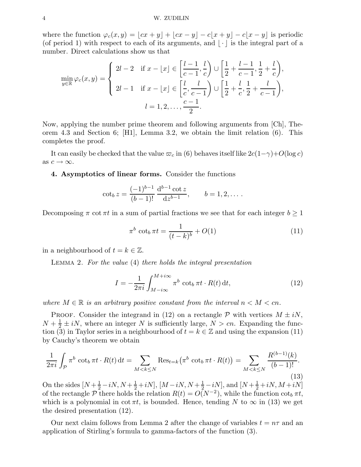#### 4 W. ZUDILIN

where the function  $\varphi_c(x, y) = [cx + y] + [cx - y] - c[x + y] - c[x - y]$  is periodic (of period 1) with respect to each of its arguments, and  $|\cdot|$  is the integral part of a number. Direct calculations show us that

$$
\min_{y \in \mathbb{R}} \varphi_c(x, y) = \begin{cases} 2l - 2 & \text{if } x - \lfloor x \rfloor \in \left[ \frac{l - 1}{c - 1}, \frac{l}{c} \right) \cup \left[ \frac{1}{2} + \frac{l - 1}{c - 1}, \frac{1}{2} + \frac{l}{c} \right), \\ 2l - 1 & \text{if } x - \lfloor x \rfloor \in \left[ \frac{l}{c}, \frac{l}{c - 1} \right) \cup \left[ \frac{1}{2} + \frac{l}{c}, \frac{1}{2} + \frac{l}{c - 1} \right), \\ l = 1, 2, \dots, \frac{c - 1}{2} .\end{cases}
$$

Now, applying the number prime theorem and following arguments from [Ch], Theorem 4.3 and Section 6; [H1], Lemma 3.2, we obtain the limit relation (6). This completes the proof.

It can easily be checked that the value  $\varpi_c$  in (6) behaves itself like  $2c(1-\gamma)+O(\log c)$ as  $c \to \infty$ .

## **4. Asymptotics of linear forms.** Consider the functions

$$
\cot_b z = \frac{(-1)^{b-1}}{(b-1)!} \frac{d^{b-1} \cot z}{dz^{b-1}}, \qquad b = 1, 2, \dots.
$$

Decomposing  $\pi$  cot  $\pi t$  in a sum of partial fractions we see that for each integer  $b \geq 1$ 

$$
\pi^b \cot_b \pi t = \frac{1}{(t-k)^b} + O(1) \tag{11}
$$

in a neighbourhood of  $t = k \in \mathbb{Z}$ .

Lemma 2. For the value (4) there holds the integral presentation

$$
I = -\frac{1}{2\pi i} \int_{M - i\infty}^{M + i\infty} \pi^b \cot_b \pi t \cdot R(t) dt,
$$
\n(12)

where  $M \in \mathbb{R}$  is an arbitrary positive constant from the interval  $n < M < cn$ .

PROOF. Consider the integrand in (12) on a rectangle  $P$  with vertices  $M \pm iN$ ,  $N + \frac{1}{2} \pm iN$ , where an integer N is sufficiently large,  $N > cn$ . Expanding the function (3) in Taylor series in a neighbourhood of  $t = k \in \mathbb{Z}$  and using the expansion (11) by Cauchy's theorem we obtain

$$
\frac{1}{2\pi i} \int_{\mathcal{P}} \pi^b \cot_b \pi t \cdot R(t) dt = \sum_{M < k \le N} \text{Res}_{t=k} \left( \pi^b \cot_b \pi t \cdot R(t) \right) = \sum_{M < k \le N} \frac{R^{(b-1)}(k)}{(b-1)!}.
$$
\n(13)

On the sides  $[N + \frac{1}{2} - iN, N + \frac{1}{2} + iN], [M - iN, N + \frac{1}{2} - iN],$  and  $[N + \frac{1}{2} + iN, M + iN]$ of the rectangle P there holds the relation  $R(t) = O(N^{-2})$ , while the function  $\cot_b \pi t$ , which is a polynomial in cot  $\pi t$ , is bounded. Hence, tending N to  $\infty$  in (13) we get the desired presentation (12).

Our next claim follows from Lemma 2 after the change of variables  $t = n\tau$  and an application of Stirling's formula to gamma-factors of the function (3).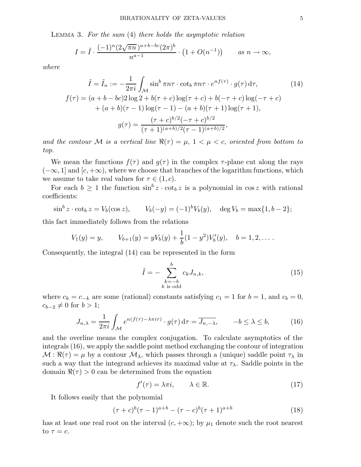Lemma 3. For the sum (4) there holds the asymptotic relation

$$
I = \tilde{I} \cdot \frac{(-1)^n (2\sqrt{\pi n})^{a+b-bc} (2\pi)^b}{n^{a-1}} \cdot \left(1 + O(n^{-1})\right) \qquad \text{as } n \to \infty,
$$

where

$$
\tilde{I} = \tilde{I}_n := -\frac{1}{2\pi i} \int_{\mathcal{M}} \sin^b \pi n\tau \cdot \cot_b \pi n\tau \cdot e^{nf(\tau)} \cdot g(\tau) d\tau,
$$
\n
$$
f(\tau) = (a+b-bc)2 \log 2 + b(\tau+c) \log(\tau+c) + b(-\tau+c) \log(-\tau+c) + (a+b)(\tau-1) \log(\tau-1) - (a+b)(\tau+1) \log(\tau+1),
$$
\n
$$
g(\tau) = \frac{(\tau+c)^{b/2}(-\tau+c)^{b/2}}{(\tau+1)^{(a+b)/2}(\tau-1)^{(a+b)/2}},
$$
\n(14)

and the contour M is a vertical line  $\Re(\tau) = \mu$ ,  $1 < \mu < c$ , oriented from bottom to top.

We mean the functions  $f(\tau)$  and  $g(\tau)$  in the complex  $\tau$ -plane cut along the rays  $(-\infty, 1]$  and  $[c, +\infty)$ , where we choose that branches of the logarithm functions, which we assume to take real values for  $\tau \in (1, c)$ .

For each  $b \geq 1$  the function  $\sin^b z \cdot \cot_b z$  is a polynomial in  $\cos z$  with rational coefficients:

$$
\sin^b z \cdot \cot_b z = V_b(\cos z),
$$
  $V_b(-y) = (-1)^b V_b(y), \text{ deg } V_b = \max\{1, b - 2\};$ 

this fact immediately follows from the relations

$$
V_1(y) = y, \qquad V_{b+1}(y) = yV_b(y) + \frac{1}{b}(1-y^2)V'_b(y), \quad b = 1, 2, \dots.
$$

Consequently, the integral (14) can be represented in the form

$$
\tilde{I} = -\sum_{\substack{k=-b\\k \text{ is odd}}}^{b} c_k J_{n,k},\tag{15}
$$

where  $c_k = c_{-k}$  are some (rational) constants satisfying  $c_1 = 1$  for  $b = 1$ , and  $c_b = 0$ ,  $c_{b-2} \neq 0$  for  $b > 1$ ;

$$
J_{n,\lambda} = \frac{1}{2\pi i} \int_{\mathcal{M}} e^{n(f(\tau) - \lambda \pi i \tau)} \cdot g(\tau) d\tau = \overline{J_{n,-\lambda}}, \qquad -b \le \lambda \le b,
$$
 (16)

and the overline means the complex conjugation. To calculate asymptotics of the integrals (16), we apply the saddle point method exchanging the contour of integration  $M : \Re(\tau) = \mu$  by a contour  $\mathcal{M}_{\lambda}$ , which passes through a (unique) saddle point  $\tau_{\lambda}$  in such a way that the integrand achieves its maximal value at  $\tau_{\lambda}$ . Saddle points in the domain  $\Re(\tau) > 0$  can be determined from the equation

$$
f'(\tau) = \lambda \pi i, \qquad \lambda \in \mathbb{R}.\tag{17}
$$

It follows easily that the polynomial

$$
(\tau + c)^b (\tau - 1)^{a+b} - (\tau - c)^b (\tau + 1)^{a+b} \tag{18}
$$

has at least one real root on the interval  $(c, +\infty)$ ; by  $\mu_1$  denote such the root nearest to  $\tau = c$ .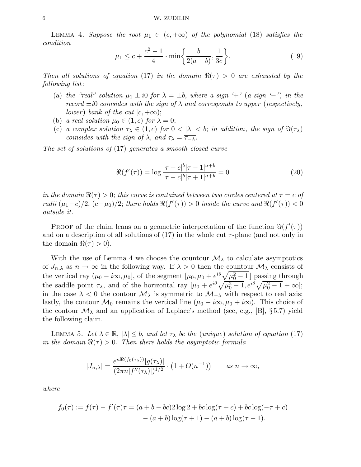LEMMA 4. Suppose the root  $\mu_1 \in (c, +\infty)$  of the polynomial (18) satisfies the condition

$$
\mu_1 \le c + \frac{c^2 - 1}{4} \cdot \min\left\{\frac{b}{2(a+b)}, \frac{1}{3c}\right\}.
$$
 (19)

Then all solutions of equation (17) in the domain  $\Re(\tau) > 0$  are exhausted by the following list:

- (a) the "real" solution  $\mu_1 \pm i0$  for  $\lambda = \pm b$ , where a sign '+' (a sign '−') in the record  $\pm i0$  coinsides with the sign of  $\lambda$  and corresponds to upper (respectively, lower) bank of the cut  $(c, +\infty);$
- (b) a real solution  $\mu_0 \in (1, c)$  for  $\lambda = 0$ ;
- (c) a complex solution  $\tau_{\lambda} \in (1, c)$  for  $0 < |\lambda| < b$ ; in addition, the sign of  $\Im(\tau_{\lambda})$ coinsides with the sign of  $\lambda$ , and  $\tau_{\lambda} = \overline{\tau_{-\lambda}}$ .

The set of solutions of (17) generates a smooth closed curve

$$
\Re(f'(\tau)) = \log \frac{|\tau + c|^b |\tau - 1|^{a+b}}{|\tau - c|^b |\tau + 1|^{a+b}} = 0
$$
\n(20)

in the domain  $\Re(\tau) > 0$ ; this curve is contained between two circles centered at  $\tau = c$  of radii  $(\mu_1-c)/2$ ,  $(c-\mu_0)/2$ ; there holds  $\Re(f'(\tau)) > 0$  inside the curve and  $\Re(f'(\tau)) < 0$ outside it.

PROOF of the claim leans on a geometric interpretation of the function  $\Im(f'(\tau))$ and on a description of all solutions of  $(17)$  in the whole cut  $\tau$ -plane (and not only in the domain  $\Re(\tau) > 0$ .

With the use of Lemma 4 we choose the countour  $\mathcal{M}_{\lambda}$  to calculate asymptotics of  $J_{n,\lambda}$  as  $n \to \infty$  in the following way. If  $\lambda > 0$  then the countour  $\mathcal{M}_{\lambda}$  consists of the vertical ray  $(\mu_0 - i\infty, \mu_0]$ , of the segment  $[\mu_0, \mu_0 + e^{i\theta}\sqrt{\mu_0^2 - 1}]$  passing through the saddle point  $\tau_{\lambda}$ , and of the horizontal ray  $[\mu_0 + e^{i\theta} \sqrt{\mu_0^2 - 1}, e^{i\theta} \sqrt{\mu_0^2 - 1} + \infty];$ in the case  $\lambda < 0$  the contour  $\mathcal{M}_{\lambda}$  is symmetric to  $\mathcal{M}_{-\lambda}$  with respect to real axis; lastly, the contour  $\mathcal{M}_0$  remains the vertical line  $(\mu_0 - i\infty, \mu_0 + i\infty)$ . This choice of the contour  $\mathcal{M}_{\lambda}$  and an application of Laplace's method (see, e.g., [B], §5.7) yield the following claim.

LEMMA 5. Let  $\lambda \in \mathbb{R}, |\lambda| \leq b$ , and let  $\tau_{\lambda}$  be the (unique) solution of equation (17) in the domain  $\Re(\tau) > 0$ . Then there holds the asymptotic formula

$$
|J_{n,\lambda}| = \frac{e^{n\Re(f_0(\tau_\lambda))}|g(\tau_\lambda)|}{(2\pi n|f''(\tau_\lambda)|)^{1/2}} \cdot \left(1 + O(n^{-1})\right) \qquad \text{as } n \to \infty,
$$

where

$$
f_0(\tau) := f(\tau) - f'(\tau)\tau = (a+b-bc)2\log 2 + bc\log(\tau+c) + bc\log(-\tau+c) - (a+b)\log(\tau+1) - (a+b)\log(\tau-1).
$$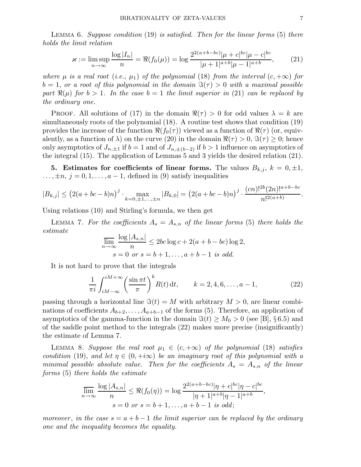LEMMA 6. Suppose condition  $(19)$  is satisfied. Then for the linear forms  $(5)$  there holds the limit relation

$$
\varkappa := \limsup_{n \to \infty} \frac{\log |I_n|}{n} = \Re(f_0(\mu)) = \log \frac{2^{2(a+b-bc)} |\mu + c|^{bc} |\mu - c|^{bc}}{|\mu + 1|^{a+b} |\mu - 1|^{a+b}},\tag{21}
$$

where  $\mu$  is a real root (i.e.,  $\mu_1$ ) of the polynomial (18) from the interval  $(c, +\infty)$  for  $b = 1$ , or a root of this polynomial in the domain  $\Im(\tau) > 0$  with a maximal possible part  $\Re(\mu)$  for  $b > 1$ . In the case  $b = 1$  the limit superior in (21) can be replaced by the ordinary one.

PROOF. All solutions of (17) in the domain  $\Re(\tau) > 0$  for odd values  $\lambda = k$  are simultaneously roots of the polynomial (18). A routine test shows that condition (19) provides the increase of the function  $\Re(f_0(\tau))$  viewed as a function of  $\Re(\tau)$  (or, equivalently, as a function of  $\lambda$ ) on the curve (20) in the domain  $\Re(\tau) > 0$ ,  $\Im(\tau) \geq 0$ ; hence only asymptotics of  $J_{n,\pm 1}$  if  $b = 1$  and of  $J_{n,\pm (b-2)}$  if  $b > 1$  influence on asymptotics of the integral (15). The application of Lemmas 5 and 3 yields the desired relation (21).

**5.** Estimates for coefficients of linear forms. The values  $B_{k,j}$ ,  $k = 0, \pm 1$ ,  $\ldots, \pm n, j = 0, 1, \ldots, a - 1$ , defined in (9) satisfy inequalities

$$
|B_{k,j}| \leq (2(a+bc-b)n)^j \cdot \max_{k=0,\pm 1,\dots,\pm n} |B_{k,0}| = (2(a+bc-b)n)^j \cdot \frac{(cn)!^{2b}(2n)!^{a+b-bc}}{n!^{2(a+b)}}.
$$

Using relations (10) and Stirling's formula, we then get

LEMMA 7. For the coefficients  $A_s = A_{s,n}$  of the linear forms (5) there holds the estimate

$$
\overline{\lim}_{n \to \infty} \frac{\log |A_{s,n}|}{n} \le 2bc \log c + 2(a+b-bc) \log 2,
$$
  
 
$$
s = 0 \text{ or } s = b+1, \dots, a+b-1 \text{ is odd.}
$$

It is not hard to prove that the integrals

$$
\frac{1}{\pi i} \int_{iM-\infty}^{iM+\infty} \left( \frac{\sin \pi t}{\pi} \right)^k R(t) dt, \qquad k = 2, 4, 6, \dots, a-1,
$$
 (22)

passing through a horizontal line  $\Im(t) = M$  with arbitrary  $M > 0$ , are linear combinations of coefficients  $A_{b+2}, \ldots, A_{a+b-1}$  of the forms (5). Therefore, an application of asymptotics of the gamma-function in the domain  $\Im(t) \geq M_0 > 0$  (see [B], §6.5) and of the saddle point method to the integrals (22) makes more precise (insignificantly) the estimate of Lemma 7.

LEMMA 8. Suppose the real root  $\mu_1 \in (c, +\infty)$  of the polynomial (18) satisfies condition (19), and let  $\eta \in (0, +i\infty)$  be an imaginary root of this polynomial with a minimal possible absolute value. Then for the coefficients  $A_s = A_{s,n}$  of the linear forms (5) there holds the estimate

$$
\overline{\lim}_{n \to \infty} \frac{\log |A_{s,n}|}{n} \leq \Re(f_0(\eta)) = \log \frac{2^{2(a+b-bc)}|\eta + c|^{bc}|\eta - c|^{bc}}{|\eta + 1|^{a+b}|\eta - 1|^{a+b}},
$$
  

$$
s = 0 \text{ or } s = b+1, ..., a+b-1 \text{ is odd};
$$

moreover, in the case  $s = a + b - 1$  the limit superior can be replaced by the ordinary one and the inequality becomes the equality.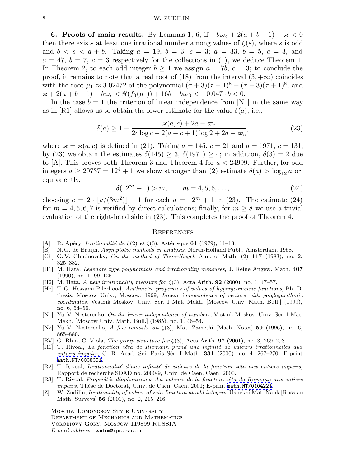#### 8 W. ZUDILIN

**6. Proofs of main results.** By Lemmas 1, 6, if  $-b\varpi_c + 2(a + b - 1) + \varkappa < 0$ then there exists at least one irrational number among values of  $\zeta(s)$ , where s is odd and  $b < s < a + b$ . Taking  $a = 19$ ,  $b = 3$ ,  $c = 3$ ;  $a = 33$ ,  $b = 5$ ,  $c = 3$ , and  $a = 47, b = 7, c = 3$  respectively for the collections in (1), we deduce Theorem 1. In Theorem 2, to each odd integer  $b \ge 1$  we assign  $a = 7b$ ,  $c = 3$ ; to conclude the proof, it remains to note that a real root of (18) from the interval  $(3, +\infty)$  coincides with the root  $\mu_1 \approx 3.02472$  of the polynomial  $(\tau + 3)(\tau - 1)^8 - (\tau - 3)(\tau + 1)^8$ , and  $x + 2(a + b - 1) - b\varpi_c < \Re(f_0(\mu_1)) + 16b - b\varpi_3 < -0.047 \cdot b < 0.$ 

In the case  $b = 1$  the criterion of linear independence from [N1] in the same way as in [R1] allows us to obtain the lower estimate for the value  $\delta(a)$ , i.e.,

$$
\delta(a) \ge 1 - \frac{\varkappa(a, c) + 2a - \varpi_c}{2c \log c + 2(a - c + 1) \log 2 + 2a - \varpi_c},
$$
\n(23)

where  $\varkappa = \varkappa(a, c)$  is defined in (21). Taking  $a = 145$ ,  $c = 21$  and  $a = 1971$ ,  $c = 131$ , by (23) we obtain the estimates  $\delta(145) \geq 3$ ,  $\delta(1971) \geq 4$ ; in addition,  $\delta(3) = 2$  due to [A]. This proves both Theorem 3 and Theorem 4 for  $a < 24999$ . Further, for odd integers  $a \ge 20737 = 12^4 + 1$  we show stronger than (2) estimate  $\delta(a) > \log_{12} a$  or, equivalently,

$$
\delta(12^m + 1) > m, \qquad m = 4, 5, 6, \dots,\tag{24}
$$

choosing  $c = 2 \cdot |a/(3m^2)| + 1$  for each  $a = 12^m + 1$  in (23). The estimate (24) for  $m = 4, 5, 6, 7$  is verified by direct calculations; finally, for  $m \geq 8$  we use a trivial evaluation of the right-hand side in (23). This completes the proof of Theorem 4.

#### **REFERENCES**

- [A] R. Apéry, *Irrationalité de*  $\zeta(2)$  *et*  $\zeta(3)$ , Astérisque **61** (1979), 11–13.
- [B] N. G. de Bruijn, *Asymptotic methods in analysis*, North-Holland Publ., Amsterdam, 1958.
- [Ch] G. V. Chudnovsky, On the method of Thue–Siegel, Ann. of Math. (2) **117** (1983), no. 2, 325–382.
- [H1] M. Hata, Legendre type polynomials and irrationality measures, J. Reine Angew. Math. **407** (1990), no. 1, 99–125.
- [H2] M. Hata, A new irrationality measure for ζ(3), Acta Arith. **92** (2000), no. 1, 47–57.
- [He] T. G. Hessami Pilerhood, Arithmetic properties of values of hypergeometric functions, Ph. D. thesis, Moscow Univ., Moscow, 1999; Linear independence of vectors with polylogarithmic coordinates, Vestnik Moskov. Univ. Ser. I Mat. Mekh. [Moscow Univ. Math. Bull.] (1999), no. 6, 54–56.
- [N1] Yu. V. Nesterenko, On the linear independence of numbers, Vestnik Moskov. Univ. Ser. I Mat. Mekh. [Moscow Univ. Math. Bull.] (1985), no. 1, 46–54.
- [N2] Yu. V. Nesterenko, A few remarks on ζ(3), Mat. Zametki [Math. Notes] **59** (1996), no. 6, 865–880.
- [RV] G. Rhin, C. Viola, The group structure for ζ(3), Acta Arith. **97** (2001), no. 3, 269–293.
- [R1] T. Rivoal, La fonction zêta de Riemann prend une infinité de valeurs irrationnelles aux entiers impairs, C. R. Acad. Sci. Paris Sér. I Math. **331** (2000), no. 4, 267–270; E-print [math.NT/0008051](http://xxx.lanl.gov/abs/math/0008051).
- [R2] T. Rivoal, Irrationnalité d'une infinité de valeurs de la fonction zêta aux entiers impairs, Rapport de recherche SDAD no. 2000-9, Univ. de Caen, Caen, 2000.
- [R3] T. Rivoal, Propriétés diophantinnes des valeurs de la fonction zêta de Riemann aux entiers impairs, Thèse de Doctorat, Univ. de Caen, Caen, 2001; E-print [math.NT/0104221](http://xxx.lanl.gov/abs/math/0104221).
- [Z] W. Zudilin, Irrationality of values of zeta-function at odd integers, Uspekhi Mat. Nauk [Russian Math. Surveys] **56** (2001), no. 2, 215–216.

MOSCOW LOMONOSOV STATE UNIVERSITY Department of Mechanics and Mathematics Vorobiovy Gory, Moscow 119899 RUSSIA E-mail address: wadim@ips.ras.ru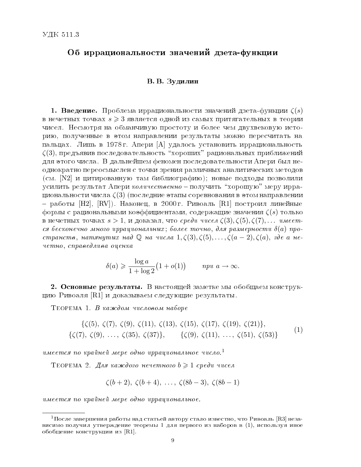# Об иррациональности значений дзета-функции

# В. В. Зудилин

1. Введение. Проблема иррациональности значений дзета-функции  $\zeta(s)$ в нечетных точках  $s \geqslant 3$  является одной из самых притягательных в теории чисел. Несмотря на обманчивую простоту и более чем двухвековую историю, полученные в этом направлении результаты можно пересчитать на пальцах. Лишь в 1978 г. Апери [A] удалось установить иррациональность  $\zeta(3)$ , предъявив последовательность "хороших" рациональных приближений для этого числа. В дальнейшем феномен последовательности Апери был неоднократно переосмыслен с точки зрения различных аналитических методов (см.  $[N2]$  и цитированную там библиографию); новые подходы позволили усилить результат Апери количественно  $-$  получить "хорошую" меру иррациональности числа  $\zeta(3)$  (последние этапы соревнования в этом направлении  ${\rm -}$  работы [H2], [RV]). Наконец, в 2000 г. Ривоаль [R1] построил линейные  $\phi$ ормы с рациональными коэффициентами, содержащие значения  $\zeta(s)$  только в нечетных точках  $s > 1$ , и доказал, что среди чисел  $\zeta(3), \zeta(5), \zeta(7),...$  имеется бесконечно много иррациональных; более точно, для размерности  $\delta(a)$  пространств, натянутых над  $\mathbb Q$  на числа  $1, \zeta(3), \zeta(5),\ldots,\zeta(a-2), \zeta(a),$  где а не $u$ етно, справедлива оценка

$$
\delta(a) \geqslant \frac{\log a}{1 + \log 2} \big( 1 + o(1) \big) \qquad \text{npu } a \to \infty.
$$

2. Основные результаты. В настоящей заметке мы обобщаем конструкцию Ривоаля  $\lbrack R1 \rbrack$  и доказываем следующие результаты.

 $T_{EOPEMA}$  1. В каждом числовом наборе

$$
\{\zeta(5), \zeta(7), \zeta(9), \zeta(11), \zeta(13), \zeta(15), \zeta(17), \zeta(19), \zeta(21)\},\
$$
  

$$
\{\zeta(7), \zeta(9), \ldots, \zeta(35), \zeta(37)\}, \qquad \{\zeta(9), \zeta(11), \ldots, \zeta(51), \zeta(53)\}\
$$

$$
(1)
$$

имеется по крайней мере одно иррациональное число.<sup>1</sup>

TEOPEMA 2. Для каждого нечетного  $b \geqslant 1$  среди чисел

$$
\zeta(b+2), \zeta(b+4), \ldots, \zeta(8b-3), \zeta(8b-1)
$$

 $u$ меется по крайней мере одно иррациональное.

 $^1\Pi$ осле завершения работы над статьей автору стало известно, что Ривоаль [R3] независимо получил утверждение теоремы 1 для первого из наборов в (1), используя иное обобщение конструкции из [R1].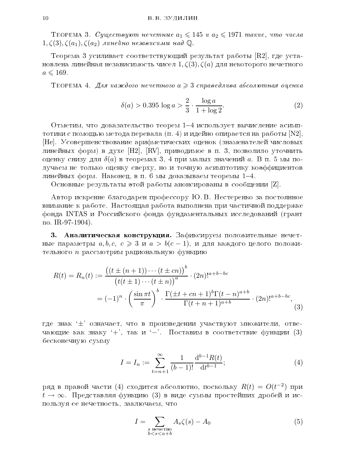TEOPEMA 3. Cymecmoyrom nevemnue  $a_1 \leqslant 145$  u  $a_2 \leqslant 1971$  marue, ymo vucna  $1, \zeta(3), \zeta(a_1), \zeta(a_2)$  линейно независимы над  $\mathbb{Q}$ .

Теорема 3 усиливает соответствующий результат работы  $[R2]$ , где установлена линейная независимость чисел  $1, \zeta(3), \zeta(a)$  для некоторого нечетного  $a \leq 169$ .

TEOPEMA 4. Для каждого нечетного  $a \geqslant 3$  справедлива абсолютная оценка

$$
\delta(a) > 0.395 \log a > \frac{2}{3} \cdot \frac{\log a}{1 + \log 2}.\tag{2}
$$

Отметим, что доказательство теорем  $1–4$  использует вычисление асимптотики с помощью метода перевала  $(\pi.~4)$  и идейно опирается на работы  $\mathrm{[N2]},$ [He]. Усовершенствование арифметических оценок (знаменателей числовых линейных форм) в духе [H2], [RV], приводимое в п. 3, позволило уточнить оценку снизу для  $\delta(a)$  в теоремах 3, 4 при малых значений  $a$ . В п. 5 мы получаем не только оценку сверху, но и точную асимптотику коэффициентов линейных форм. Наконец, в п. 6 мы доказываем теоремы  $1-4$ .

Основные результаты этой работы анонсированы в сообщении  $[Z]$ .

Автор искренне благодарен профессору Ю.В. Нестеренко за постоянное внимание к работе. Настоящая работа выполнена при частичной поддержке фонда INTAS и Российского фонда фундаментальных исследований (грант no. IR-97-1904).

3. Аналитическая конструкция. Зафиксируем положительные нечетные параметры  $a, b, c, c \geq 3$  и  $a > b(c - 1)$ , и для каждого целого положительного  $n$  рассмотрим рациональную функцию

$$
R(t) = R_n(t) := \frac{\left( (t \pm (n+1)) \cdots (t \pm cn) \right)^b}{\left( t(t \pm 1) \cdots (t \pm n) \right)^a} \cdot (2n)!^{a+b-bc}
$$

$$
= (-1)^n \cdot \left( \frac{\sin \pi t}{\pi} \right)^b \cdot \frac{\Gamma(\pm t + cn + 1)^b \Gamma(t - n)^{a+b}}{\Gamma(t + n + 1)^{a+b}} \cdot (2n)!^{a+b-bc}, \tag{3}
$$

где знак  $\pm$ ' означает, что в произведении участвуют множители, отвечающие как знаку '+', так и '-'. Поставим в соответствие функции (3) бесконечную сумму

$$
I = I_n := \sum_{t=n+1}^{\infty} \frac{1}{(b-1)!} \frac{\mathrm{d}^{b-1} R(t)}{\mathrm{d} t^{b-1}};
$$
\n(4)

ряд в правой части (4) сходится абсолютно, поскольку  $R(t) \, = \, O(t^{-2})$  при  $t \to \infty$ . Представляя функцию (3) в виде суммы простейших дробей и используя ее нечетность, заключаем, что

$$
I = \sum_{\substack{s \text{ нечетno} \\ b < s < a + b}} A_s \zeta(s) - A_0 \tag{5}
$$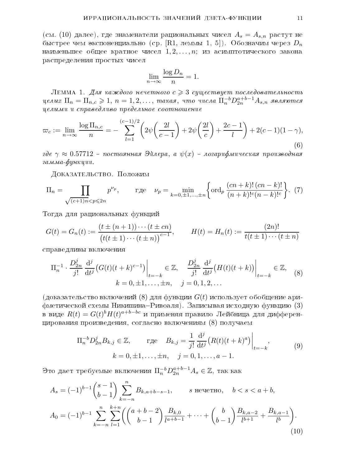(см. (10) далее), где знаменатели рациональных чисел  $A_s = A_{s,n}$  растут не быстрее чем экспоненциально (ср.  $[R1, n$ еммы 1, 5]). Обозначим через  $D_n$ наименьшее общее кратное чисел  $1, 2, \ldots, n$ ; из асимптотического закона распределения простых чисел

$$
\lim_{n \to \infty} \frac{\log D_n}{n} = 1.
$$

ЛЕММА 1. Для каждого нечетного  $c \geqslant 3$  существует последовательность целых  $\Pi_n = \Pi_{n,c} \geqslant 1, \, n=1,2,\ldots, \; {\it max}$ ая, что числа  $\Pi_n^{-b} D_{2n}^{a+b-1} A_{s,n}$  являются  $u$ елыми и справедливо предельное соотношение

$$
\varpi_c := \lim_{n \to \infty} \frac{\log \Pi_{n,c}}{n} = -\sum_{l=1}^{(c-1)/2} \left( 2\psi \left( \frac{2l}{c-1} \right) + 2\psi \left( \frac{2l}{c} \right) + \frac{2c-1}{l} \right) + 2(c-1)(1-\gamma),\tag{6}
$$

где  $\gamma \approx 0.57712$  – постоянная Эйлера, а  $\psi(x)$  – логарифмическая производная гамма-функции.

ДОКАЗАТЕЛЬСТВО. Положим

$$
\Pi_n = \prod_{\sqrt{(c+1)n} < p \le 2n} p^{\nu_p}, \qquad \text{rqe} \quad \nu_p = \min_{k=0,\pm 1,\dots,\pm n} \left\{ \text{ord}_p \, \frac{(cn+k)!(cn-k)!}{(n+k)!^c(n-k)!^c} \right\}. \tag{7}
$$

Тогда для рациональных функций

$$
G(t) = G_n(t) := \frac{(t \pm (n+1)) \cdots (t \pm cn)}{(t(t \pm 1) \cdots (t \pm n))^{c-1}}, \qquad H(t) = H_n(t) := \frac{(2n)!}{t(t \pm 1) \cdots (t \pm n)}
$$

справедливы включения

$$
\Pi_n^{-1} \cdot \frac{D_{2n}^j}{j!} \frac{d^j}{dt^j} \left( G(t)(t+k)^{c-1} \right) \Big|_{t=-k} \in \mathbb{Z}, \quad \frac{D_{2n}^j}{j!} \frac{d^j}{dt^j} \left( H(t)(t+k) \right) \Big|_{t=-k} \in \mathbb{Z}, \quad (8)
$$

$$
k = 0, \pm 1, \dots, \pm n, \quad j = 0, 1, 2, \dots
$$

(доказательство включений (8) для функции  $G(t)$  использует обобщение ари- $\phi$ метической схемы Никишина-Ривоаля). Записывая исходную функцию (3) в виде  $R(t) = G(t)^b H(t)^{a+b-bc}$  и применяя правило Лейбница для дифференцирования произведения, согласно включениям  $(8)$  получаем

$$
\Pi_n^{-b} D_{2n}^j B_{k,j} \in \mathbb{Z}, \qquad \text{r, i. } B_{k,j} = \frac{1}{j!} \frac{d^j}{dt^j} \left( R(t)(t+k)^a \right) \Big|_{t=-k},
$$
\n
$$
k = 0, \pm 1, \dots, \pm n, \quad j = 0, 1, \dots, a-1.
$$
\n(9)

Это дает требуемые включения  $\Pi_n^{-b} D^{a+b-1}_{2n} A_s \in {\mathbb Z},$  так как

$$
A_s = (-1)^{b-1} \binom{s-1}{b-1} \sum_{k=-n}^{n} B_{k, a+b-s-1}, \qquad s \text{ нечетno}, \quad b < s < a+b,
$$
  

$$
A_0 = (-1)^{b-1} \sum_{k=-n}^{n} \sum_{l=1}^{k+n} \left( \binom{a+b-2}{b-1} \frac{B_{k,0}}{l^{a+b-1}} + \dots + \binom{b}{b-1} \frac{B_{k,a-2}}{l^{b+1}} + \frac{B_{k,a-1}}{l^b} \right).
$$

$$
(10)
$$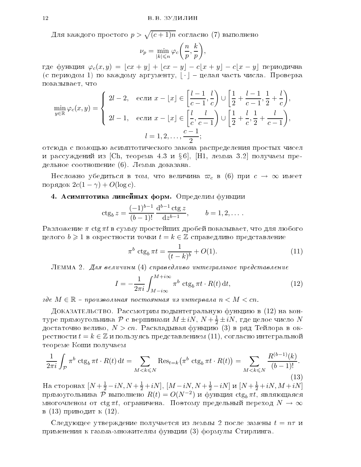Для каждого простого  $p > \sqrt{(c+1)n}$  согласно (7) выполнено

$$
\nu_p = \min_{|k| \leq n} \varphi_c\bigg(\frac{n}{p}, \frac{k}{p}\bigg),\,
$$

где функция  $\varphi_c(x, y) = \lfloor cx + y \rfloor + \lfloor cx - y \rfloor - c\lfloor x + y \rfloor - c\lfloor x - y \rfloor$  периодична (с периодом 1) по каждому аргументу,  $|\cdot|$  – целая часть числа. Проверка показывает, что

$$
\min_{y \in \mathbb{R}} \varphi_c(x, y) = \begin{cases} 2l - 2, & \text{ecinh } x - \lfloor x \rfloor \in \left[ \frac{l - 1}{c - 1}, \frac{l}{c} \right) \cup \left[ \frac{1}{2} + \frac{l - 1}{c - 1}, \frac{1}{2} + \frac{l}{c} \right), \\ 2l - 1, & \text{ecinh } x - \lfloor x \rfloor \in \left[ \frac{l}{c}, \frac{l}{c - 1} \right) \cup \left[ \frac{1}{2} + \frac{l}{c}, \frac{1}{2} + \frac{l}{c - 1} \right), \\ l = 1, 2, \dots, \frac{c - 1}{2}; \end{cases}
$$

отсюда с помощью асимптотического закона распределения простых чисел и рассуждений из [Ch, теорема 4.3 и  $\S 6$ ], [H1, лемма 3.2] получаем предельное соотношение  $(6)$ . Лемма доказана.

Несложно убедиться в том, что величина  $\varpi_c$  в (6) при  $c \to \infty$  имеет порядок  $2c(1 - \gamma) + O(\log c)$ .

## 4. Асимптотика линейных форм. Определим функции

$$
\operatorname{ctg}_b z = \frac{(-1)^{b-1}}{(b-1)!} \frac{\mathrm{d}^{b-1} \operatorname{ctg} z}{\mathrm{d} z^{b-1}}, \qquad b = 1, 2, \dots.
$$

Разложение  $\pi$  ctg  $\pi t$  в сумму простейших дробей показывает, что для любого целого  $b \geqslant 1$  в окрестности точки  $t = k \in \mathbb{Z}$  справедливо представление

$$
\pi^b \operatorname{ctg}_b \pi t = \frac{1}{(t-k)^b} + O(1). \tag{11}
$$

ЛЕММА 2. Для величины  $(4)$  справедливо интегральное представление

$$
I = -\frac{1}{2\pi i} \int_{M - i\infty}^{M + i\infty} \pi^b \operatorname{ctg}_b \pi t \cdot R(t) dt,
$$
 (12)

где  $M \in \mathbb{R}$  – произвольная постоянная из интервала  $n < M < cn.$ 

Доказательство. Рассмотрим подынтегральную функцию в  $(12)$  на контуре прямоугольника  ${\cal P}$  с вершинами  $M \pm i N, \, N + \frac{1}{2} \pm i N,$  где целое число  $N$ достаточно велико,  $N > cn$ . Раскладывая функцию (3) в ряд Тейлора в окрестности  $t = k \in \mathbb{Z}$  и пользуясь представлением  $(11)$ , согласно интегральной теореме Коши получаем

$$
\frac{1}{2\pi i} \int_{\mathcal{P}} \pi^b \, \text{ctg}_b \, \pi t \cdot R(t) \, \text{d}t = \sum_{M < k \le N} \text{Res}_{t=k} \big( \pi^b \, \text{ctg}_b \, \pi t \cdot R(t) \big) = \sum_{M < k \le N} \frac{R^{(b-1)}(k)}{(b-1)!}.
$$
\n(13)

На сторонах  $[N + \frac{1}{2} - iN, N + \frac{1}{2} + iN]$ ,  $[M - iN, N + \frac{1}{2} - iN]$  и  $[N + \frac{1}{2} + iN, M + iN]$ прямоугольника  $\overline{\mathcal{P}}$  выполнено  $R(t) = O(N^{-2})$  и функция  $\operatorname{ctg}_b \pi \overline{t}$ , являющаяся многочленом от ctg  $\pi t$ , ограничена. Поэтому предельный переход  $N \to \infty$ в (13) приводит к (12).

Следующее утверждение получается из леммы 2 после замены  $t = n\tau$  и применения к гамма-множителям функции (3) формулы Стирлинга.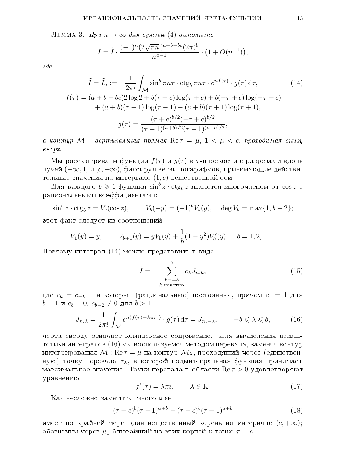ЛЕММА 3. При  $n \to \infty$  для суммы (4) выполнено

$$
I = \tilde{I} \cdot \frac{(-1)^n (2\sqrt{\pi n})^{a+b-bc} (2\pi)^b}{n^{a-1}} \cdot \left(1 + O(n^{-1})\right),
$$

 $\partial e$ 

$$
\tilde{I} = \tilde{I}_n := -\frac{1}{2\pi i} \int_{\mathcal{M}} \sin^b \pi n \tau \cdot \text{ctg}_b \pi n \tau \cdot e^{nf(\tau)} \cdot g(\tau) \, \text{d}\tau,\tag{14}
$$
\n
$$
f(\tau) = (a+b-bc)2 \log 2 + b(\tau+c) \log(\tau+c) + b(-\tau+c) \log(-\tau+c) + (a+b)(\tau-1) \log(\tau-1) - (a+b)(\tau+1) \log(\tau+1),
$$
\n
$$
g(\tau) = \frac{(\tau+c)^{b/2}(-\tau+c)^{b/2}}{(\tau+1)^{(a+b)/2}(\tau-1)^{(a+b)/2}},
$$

а контур М – вертикальная прямая  $\mathrm{Re}\, \tau\,=\,\mu,\; 1\,<\,\mu\,<\,c,\;$ проходимая снизу  $\theta \theta \ell px.$ 

Мы рассматриваем функции  $f(\tau)$  и  $q(\tau)$  в  $\tau$ -плоскости с разрезами вдоль лучей  $(-\infty, 1]$  и  $[c, +\infty)$ , фиксируя ветви логарифмов, принимающие действительные значения на интервале  $(1, c)$  вещественной оси.

Для каждого  $b \geqslant 1$  функция  $\sin^b z \cdot \ctg_h z$  является многочленом от  $\cos z$  с рациональными коэффициентами:

$$
\sin^b z \cdot \ctg_b z = V_b(\cos z),
$$
  $V_b(-y) = (-1)^b V_b(y), \quad \deg V_b = \max\{1, b-2\};$ 

этот факт следует из соотношений

$$
V_1(y) = y, \qquad V_{b+1}(y) = yV_b(y) + \frac{1}{b}(1-y^2)V'_b(y), \quad b = 1, 2, \dots.
$$

Поэтому интеграл  $(14)$  можно представить в виде

$$
\tilde{I} = -\sum_{\substack{k=-b\\k \text{ нечетno}}}^{b} c_k J_{n,k},\tag{15}
$$

где  $c_k = c_{-k}$  – некоторые (рациональные) постоянные, причем  $c_1 = 1$  для  $b = 1$  и  $c_b = 0$ ,  $c_{b-2} \neq 0$  для  $b > 1$ ,

$$
J_{n,\lambda} = \frac{1}{2\pi i} \int_{\mathcal{M}} e^{n(f(\tau) - \lambda \pi i \tau)} \cdot g(\tau) d\tau = \overline{J_{n,-\lambda}}, \qquad -b \leq \lambda \leq b,
$$
 (16)

черта сверху означает комплексное сопряжение. Для вычисления асимптотики интегралов ( $16$ ) мы воспользуемся методом перевала, заменяя контур интегрирования  $M$  :  $\text{Re}\,\tau = \mu$  на контур  $\mathcal{M}_{\lambda}$ , проходящий через (единственную) точку перевала  $\tau_{\lambda}$ , в которой подынтегральная функция принимает максимальное значение. Точки перевала в области  $\text{Re}\,\tau > 0$  удовлетворяют уравнению

$$
f'(\tau) = \lambda \pi i, \qquad \lambda \in \mathbb{R}.
$$
 (17)

Как несложно заметить, многочлен

$$
(\tau + c)^b (\tau - 1)^{a+b} - (\tau - c)^b (\tau + 1)^{a+b} \tag{18}
$$

имеет по крайней мере один вещественный корень на интервале  $(c, +\infty);$ обозначим через  $\mu_1$  ближайший из этих корней к точке  $\tau = c$ .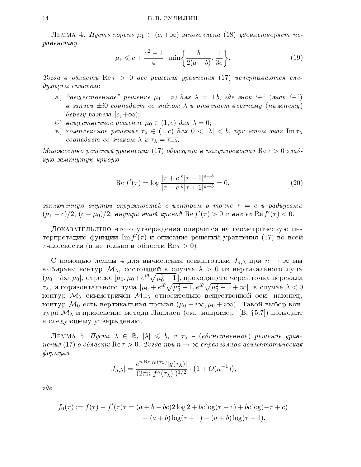ЛЕММА 4. Пусть корень  $\mu_1 \in (c, +\infty)$  многочлена (18) удовлетворяет не- $\emph{pasencmey}$ 

$$
\mu_1 \leq c + \frac{c^2 - 1}{4} \cdot \min\left\{\frac{b}{2(a+b)}, \frac{1}{3c}\right\}.
$$
\n(19)

Tozda в области  $\text{Re}\,\tau > 0$  все решения уравнения (17) исчерпываются сле- $\partial$ yw $u$ um cnuckom:

- a) "вещественное" решение  $\mu_1 \pm i0$  для  $\lambda = \pm b$ , где знак '+' (знак '-') в записи  $\pm i0$  совпадает со зна́ком  $\lambda$  и отвечает верхнему (нижнему)  $bepezy\ paspeza\ [c, +\infty);$
- 6) вещественное решение  $\mu_0 \in (1, c)$  для  $\lambda = 0;$
- B) κοΜπλεκτιοε ρεшεниε τλ  $\in (1, c)$  das  $0 < |\lambda| < b$ , npu этом знак Im τλ coonadaem co  $\sin \alpha$  λ  $u \tau_{\lambda} = \overline{\tau_{-\lambda}}$ .

Множество решений уравнения (17) образуют в полуплоскости  $\mathrm{Re}\,\tau>0$  глад- $\kappa y \nu$  замкнутую кривую

$$
\operatorname{Re} f'(\tau) = \log \frac{|\tau + c|^b |\tau - 1|^{a+b}}{|\tau - c|^b |\tau + 1|^{a+b}} = 0,
$$
\n(20)

заключенную внутри окружностей с центром в точке  $\tau\ =\ c\,$ и радиусами  $(\mu_1-c)/2,\, (c-\mu_0)/2;\;$ внутри этой кривой  $\mathrm{Re}\, f'(\tau)>0$  и вне ее  $\mathrm{Re}\, f'(\tau)<0.$ 

ДОКАЗАТЕЛЬСТВО этого утверждения опирается на геометрическую интерпретацию функции  ${\rm Im}\, f'(\tau)$  и описание решений уравнения  $(17)$  во всей  $\tau$ -плоскости (а не только в области  $\text{Re}\,\tau > 0$ ).

С помощью леммы 4 для вычисления асимптотики  $J_{n,\lambda}$  при  $n \to \infty$  мы выбираем контур  $\mathcal{M}_{\lambda}$ , состоящий в случае  $\lambda > 0$  из вертикального луча  $(\mu_0 - i\infty, \mu_0]$ , отрезка  $[\mu_0, \mu_0 + e^{i\theta}\sqrt{\mu_0^2-1}]$ , проходящего через точку перевала  $\tau_\lambda$ , и горизонтального луча  $[\mu_0 + e^{i\theta}\sqrt{\mu_0^2-1}, e^{i\theta}\sqrt{\mu_0^2-1} + \infty]$ ; в случае  $\lambda < 0$ контур  $M_{\lambda}$  симметричен  $M_{-\lambda}$  относительно вещественной оси; наконец, контур  $\mathcal{M}_0$  есть вертикальная прямая  $(\mu_0 - i\infty, \mu_0 + i\infty)$ . Такой выбор контура  $\mathcal{M}_{\lambda}$  и применение метода Лапласа (см., например, [B, § 5.7]) приводит к следующему утверждению.

JEMMA 5. Πycmb  $\lambda \in \mathbb{R}$ ,  $|\lambda| \leq b$ , u τ<sub>λ</sub> - (eduncmaennoe) pemenue ypasнения (17) в области  $\mathrm{Re}\, \tau > 0$ . Тогда при  $n \to \infty$  справедлива асимптотическая  $\phi$ opmyna

$$
|J_{n,\lambda}| = \frac{e^{n \operatorname{Re} f_0(\tau_\lambda)} |g(\tau_\lambda)|}{(2\pi n |f''(\tau_\lambda)|)^{1/2}} \cdot \left(1 + O(n^{-1})\right),
$$

 $\partial e$ 

$$
f_0(\tau) := f(\tau) - f'(\tau)\tau = (a+b-bc)2\log 2 + bc\log(\tau+c) + bc\log(-\tau+c) - (a+b)\log(\tau+1) - (a+b)\log(\tau-1).
$$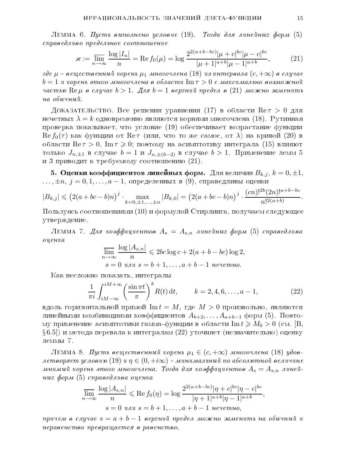ЛЕММА 6. Пусть выполнено условие (19). Тогда для линейных форм (5)  $\it changed$ ливо предельное соотношение

$$
\varkappa := \overline{\lim_{n \to \infty}} \frac{\log |I_n|}{n} = \text{Re}\, f_0(\mu) = \log \frac{2^{2(a+b-bc)} |\mu + c|^{bc} |\mu - c|^{bc}}{|\mu + 1|^{a+b} |\mu - 1|^{a+b}},\tag{21}
$$

где  $\mu$  – вещественный корень  $\mu_1$  многочлена  $(18)$  из интервала  $(c, +\infty)$  в случае  $b = 1$  и корень этого многочлена в области  $\text{Im}\,\tau > 0$  с максимально возможной частью  $\text{Re}\,\mu$  в случае  $b > 1$ . Для  $b = 1$  верхний предел в  $(21)$  можно заменить  $na<sub>o</sub>6v<sub>u</sub>4u<sub>u</sub>$ .

Доказательство. Все решения уравнения (17) в области  $\text{Re}\,\tau > 0$  для нечетных  $\lambda = k$  одновременно являются корнями многочлена (18). Рутинная проверка показывает, что условие  $(19)$  обеспечивает возрастание функции  $\text{Re } f_0(\tau)$  как функции от  $\text{Re } \tau$  (или, что то же самое, от  $\lambda$ ) на кривой (20) в области  $\text{Re}\,\tau > 0$ ,  $\text{Im}\,\tau \geq 0$ ; поэтому на асимптотику интеграла (15) влияют только  $J_{n,\pm 1}$  в случае  $b = 1$  и  $J_{n,\pm (b-2)}$  в случае  $b > 1$ . Применение лемм 5 и 3 приводит к требуемому соотношению  $(21)$ .

5. Оценки коэффициентов линейных форм. Для величин  $B_{k,j}$ ,  $k = 0, \pm 1$ ,  $\ldots, \pm n, j = 0, 1, \ldots, a - 1$ , определенных в  $(9)$ , справедливы оценки

$$
|B_{k,j}| \leqslant (2(a+bc-b)n)^j \cdot \max_{k=0,\pm 1,\ldots,\pm n} |B_{k,0}| = (2(a+bc-b)n)^j \cdot \frac{(cn)!^{2b}(2n)!^{a+b-bc}}{n!^{2(a+b)}}.
$$

Пользуясь соотношениями  $(10)$  и формулой Стирлинга, получаем следующее утверждение.

ЛЕММА 7. Для коэффициентов  $A_s = A_{s,n}$  линейных форм (5) справедлива  $ouenka$ 

$$
\overline{\lim}_{n \to \infty} \frac{\log |A_{s,n}|}{n} \leq 2bc \log c + 2(a+b-bc) \log 2,
$$
  
 
$$
s = 0 \text{ and } s = b+1, \dots, a+b-1 \text{ between } n\text{.}
$$

Как несложно показать, интегралы

$$
\frac{1}{\pi i} \int_{iM-\infty}^{iM+\infty} \left( \frac{\sin \pi t}{\pi} \right)^k R(t) \, \mathrm{d}t, \qquad k = 2, 4, 6, \dots, a-1,\tag{22}
$$

вдоль горизонтальной прямой  $\text{Im} t = M$ , где  $M > 0$  произвольно, являются линейными комбинациями коэффициентов  $A_{b+2},\ldots,A_{a+b-1}$  форм (5). Поэтому применение асимптотики гамма-функции в области Im  $t \geq M_0 > 0$  (см. [B,  $\S(6.5)$ ) и метода перевала к интегралам (22) уточняет (незначительно) оценку леммы 7.

ЛЕММА 8. Пусть вещественный корень  $\mu_1 \in (c, +\infty)$  многочлена (18) удовлетворяет условию  $(19)$  и  $\eta \in (0, +i\infty)$  – минимальный по абсолютной величине мнимый корень этого многочлена. Тогда для коэффициентов  $A_s = A_{s,n}$  линейных форм (5) справедлива оценка

$$
\overline{\lim}_{n \to \infty} \frac{\log |A_{s,n}|}{n} \leqslant \text{Re}\, f_0(\eta) = \log \frac{2^{2(a+b-bc)}|\eta + c|^{bc}|\eta - c|^{bc}}{|\eta + 1|^{a+b}|\eta - 1|^{a+b}},
$$
\n
$$
s = 0 \text{ and } s = b+1, \dots, a+b-1 \text{ between } n_o,
$$

причем в случае  $s = a + b - 1$  верхний предел можно заменить на обычный и  $nepa$ венство превращается в равенство.